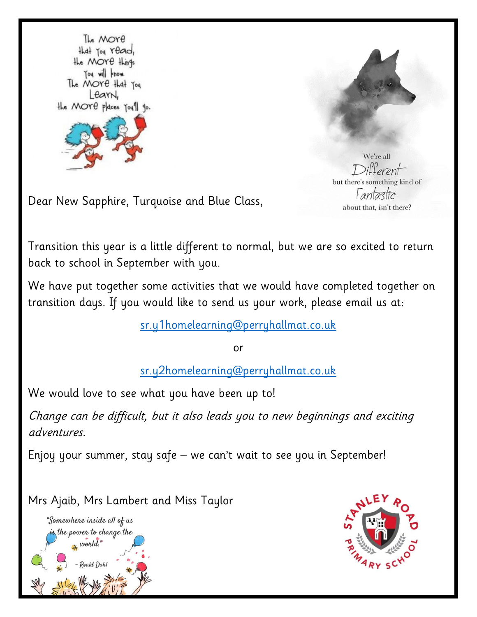



We're all but there's something kind of Fantastic about that, isn't there?

Dear New Sapphire, Turquoise and Blue Class,

Transition this year is a little different to normal, but we are so excited to return back to school in September with you.

We have put together some activities that we would have completed together on transition days. If you would like to send us your work, please email us at:

[sr.y1homelearning@perryhallmat.co.uk](mailto:sr.y1homelearning@perryhallmat.co.uk)

or

[sr.y2homelearning@perryhallmat.co.uk](mailto:sr.y2homelearning@perryhallmat.co.uk)

We would love to see what you have been up to!

Change can be difficult, but it also leads you to new beginnings and exciting adventures.

Enjoy your summer, stay safe – we can't wait to see you in September!

Mrs Ajaib, Mrs Lambert and Miss Taylor



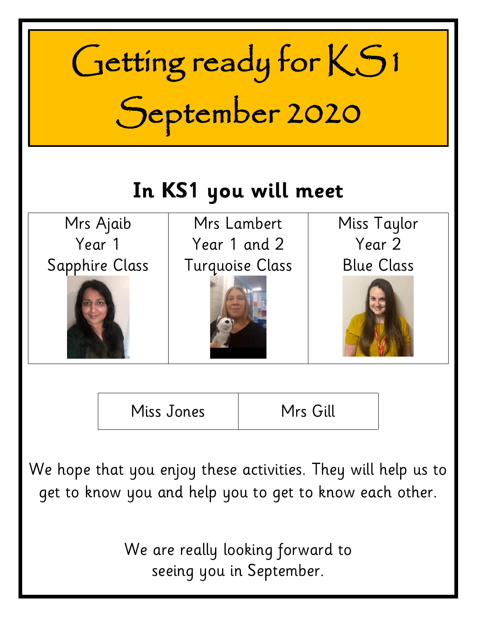

We hope that you enjoy these activities. They will help us to get to know you and help you to get to know each other.

> We are really looking forward to seeing you in September.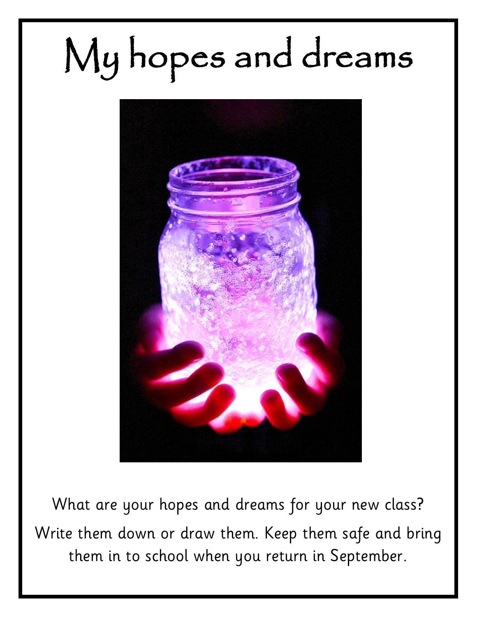# My hopes and dreams



What are your hopes and dreams for your new class? Write them down or draw them. Keep them safe and bring them in to school when you return in September.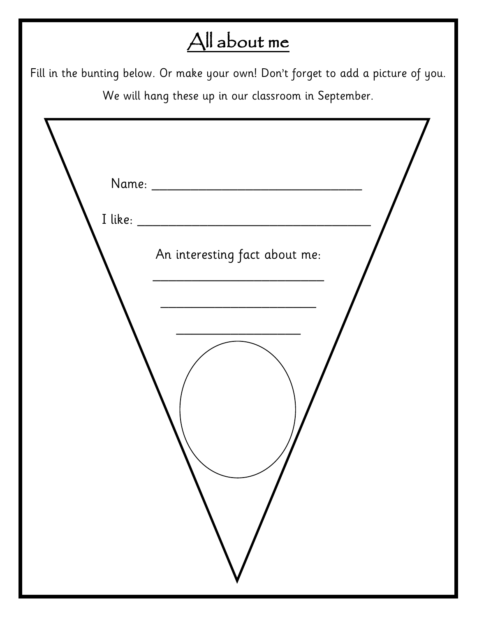## All about me

Fill in the bunting below. Or make your own! Don't forget to add a picture of you. We will hang these up in our classroom in September.

| An interesting fact about me: |
|-------------------------------|
|                               |
|                               |
|                               |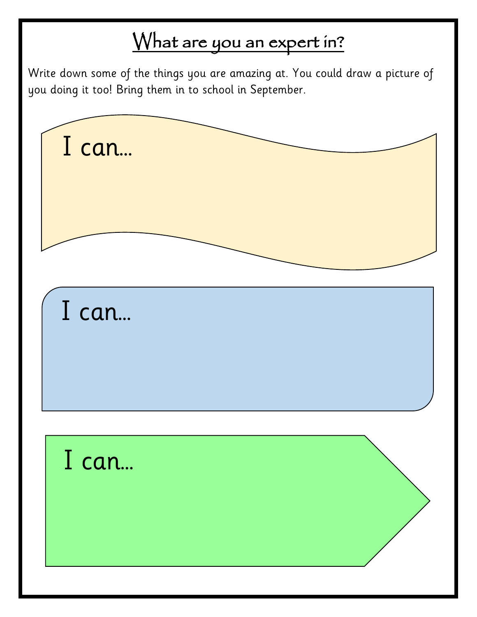#### What are you an expert in?

Write down some of the things you are amazing at. You could draw a picture of you doing it too! Bring them in to school in September.

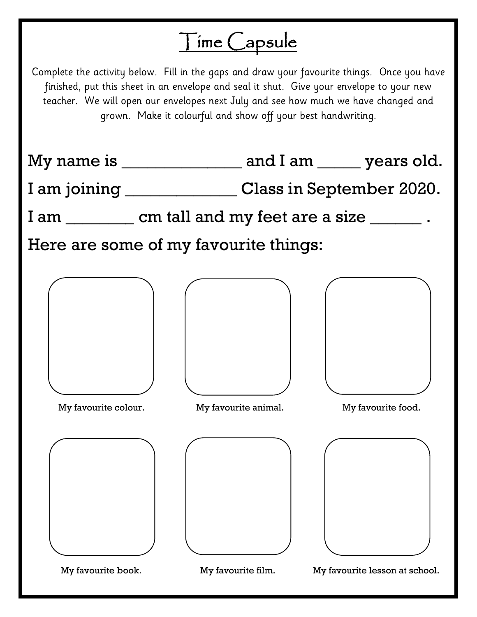## Time Capsule

Complete the activity below. Fill in the gaps and draw your favourite things. Once you have finished, put this sheet in an envelope and seal it shut. Give your envelope to your new teacher. We will open our envelopes next July and see how much we have changed and grown. Make it colourful and show off your best handwriting.

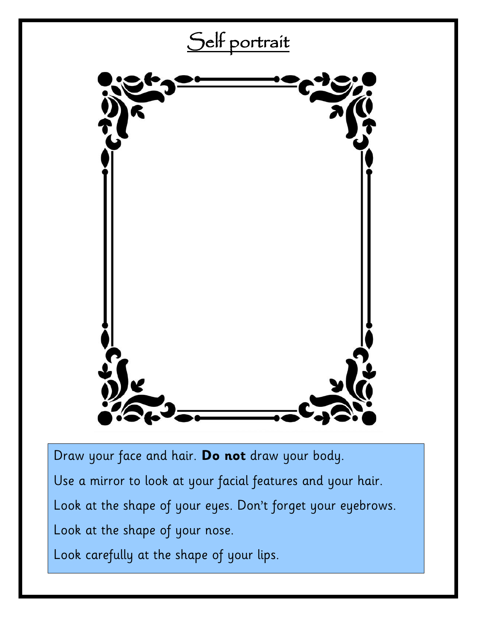

Look at the shape of your eyes. Don't forget your eyebrows.

Look at the shape of your nose.

Look carefully at the shape of your lips.